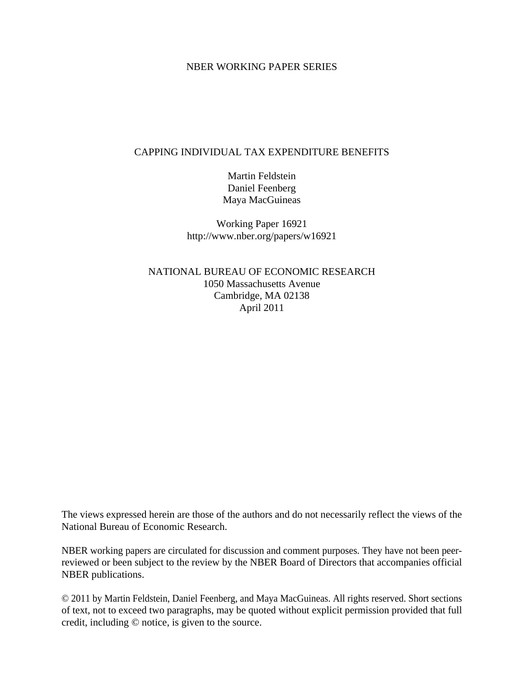#### NBER WORKING PAPER SERIES

#### CAPPING INDIVIDUAL TAX EXPENDITURE BENEFITS

Martin Feldstein Daniel Feenberg Maya MacGuineas

Working Paper 16921 http://www.nber.org/papers/w16921

NATIONAL BUREAU OF ECONOMIC RESEARCH 1050 Massachusetts Avenue Cambridge, MA 02138 April 2011

The views expressed herein are those of the authors and do not necessarily reflect the views of the National Bureau of Economic Research.

NBER working papers are circulated for discussion and comment purposes. They have not been peerreviewed or been subject to the review by the NBER Board of Directors that accompanies official NBER publications.

© 2011 by Martin Feldstein, Daniel Feenberg, and Maya MacGuineas. All rights reserved. Short sections of text, not to exceed two paragraphs, may be quoted without explicit permission provided that full credit, including © notice, is given to the source.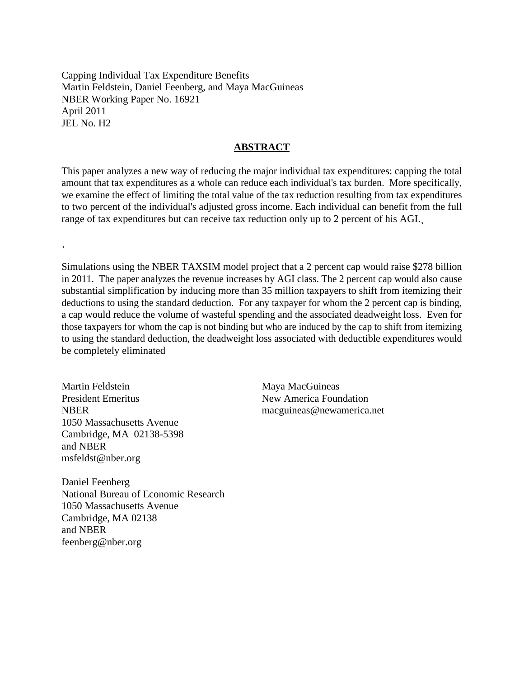Capping Individual Tax Expenditure Benefits Martin Feldstein, Daniel Feenberg, and Maya MacGuineas NBER Working Paper No. 16921 April 2011 JEL No. H2

#### **ABSTRACT**

This paper analyzes a new way of reducing the major individual tax expenditures: capping the total amount that tax expenditures as a whole can reduce each individual's tax burden. More specifically, we examine the effect of limiting the total value of the tax reduction resulting from tax expenditures to two percent of the individual's adjusted gross income. Each individual can benefit from the full range of tax expenditures but can receive tax reduction only up to 2 percent of his AGI.

¸

Simulations using the NBER TAXSIM model project that a 2 percent cap would raise \$278 billion in 2011. The paper analyzes the revenue increases by AGI class. The 2 percent cap would also cause substantial simplification by inducing more than 35 million taxpayers to shift from itemizing their deductions to using the standard deduction. For any taxpayer for whom the 2 percent cap is binding, a cap would reduce the volume of wasteful spending and the associated deadweight loss. Even for those taxpayers for whom the cap is not binding but who are induced by the cap to shift from itemizing to using the standard deduction, the deadweight loss associated with deductible expenditures would be completely eliminated

Martin Feldstein President Emeritus **NBER** 1050 Massachusetts Avenue Cambridge, MA 02138-5398 and NBER msfeldst@nber.org

Daniel Feenberg National Bureau of Economic Research 1050 Massachusetts Avenue Cambridge, MA 02138 and NBER feenberg@nber.org

Maya MacGuineas New America Foundation macguineas@newamerica.net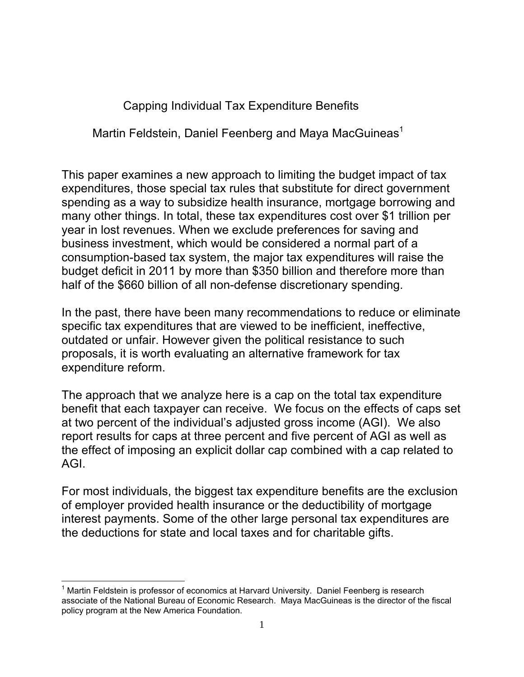Capping Individual Tax Expenditure Benefits

Martin Feldstein, Daniel Feenberg and Maya MacGuineas<sup>1</sup>

This paper examines a new approach to limiting the budget impact of tax expenditures, those special tax rules that substitute for direct government spending as a way to subsidize health insurance, mortgage borrowing and many other things. In total, these tax expenditures cost over \$1 trillion per year in lost revenues. When we exclude preferences for saving and business investment, which would be considered a normal part of a consumption-based tax system, the major tax expenditures will raise the budget deficit in 2011 by more than \$350 billion and therefore more than half of the \$660 billion of all non-defense discretionary spending.

In the past, there have been many recommendations to reduce or eliminate specific tax expenditures that are viewed to be inefficient, ineffective, outdated or unfair. However given the political resistance to such proposals, it is worth evaluating an alternative framework for tax expenditure reform.

The approach that we analyze here is a cap on the total tax expenditure benefit that each taxpayer can receive. We focus on the effects of caps set at two percent of the individual's adjusted gross income (AGI). We also report results for caps at three percent and five percent of AGI as well as the effect of imposing an explicit dollar cap combined with a cap related to AGI.

For most individuals, the biggest tax expenditure benefits are the exclusion of employer provided health insurance or the deductibility of mortgage interest payments. Some of the other large personal tax expenditures are the deductions for state and local taxes and for charitable gifts.

 $\overline{a}$ <sup>1</sup> Martin Feldstein is professor of economics at Harvard University. Daniel Feenberg is research associate of the National Bureau of Economic Research. Maya MacGuineas is the director of the fiscal policy program at the New America Foundation.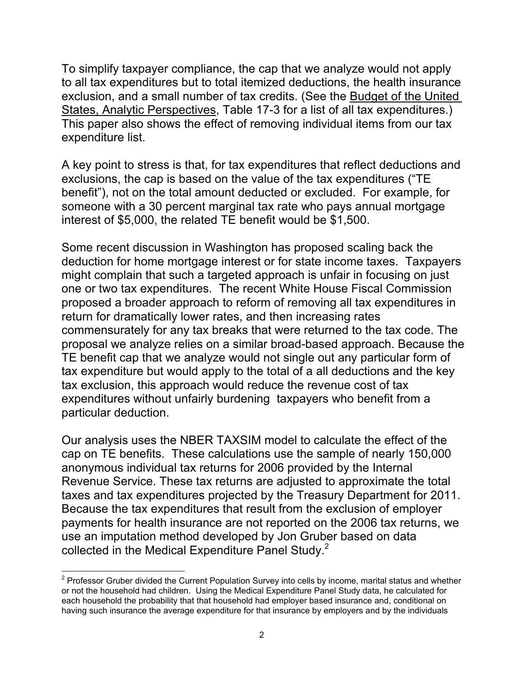To simplify taxpayer compliance, the cap that we analyze would not apply to all tax expenditures but to total itemized deductions, the health insurance exclusion, and a small number of tax credits. (See the Budget of the United States, Analytic Perspectives, Table 17-3 for a list of all tax expenditures.) This paper also shows the effect of removing individual items from our tax expenditure list.

A key point to stress is that, for tax expenditures that reflect deductions and exclusions, the cap is based on the value of the tax expenditures ("TE benefit"), not on the total amount deducted or excluded. For example, for someone with a 30 percent marginal tax rate who pays annual mortgage interest of \$5,000, the related TE benefit would be \$1,500.

Some recent discussion in Washington has proposed scaling back the deduction for home mortgage interest or for state income taxes. Taxpayers might complain that such a targeted approach is unfair in focusing on just one or two tax expenditures. The recent White House Fiscal Commission proposed a broader approach to reform of removing all tax expenditures in return for dramatically lower rates, and then increasing rates commensurately for any tax breaks that were returned to the tax code. The proposal we analyze relies on a similar broad-based approach. Because the TE benefit cap that we analyze would not single out any particular form of tax expenditure but would apply to the total of a all deductions and the key tax exclusion, this approach would reduce the revenue cost of tax expenditures without unfairly burdening taxpayers who benefit from a particular deduction.

Our analysis uses the NBER TAXSIM model to calculate the effect of the cap on TE benefits. These calculations use the sample of nearly 150,000 anonymous individual tax returns for 2006 provided by the Internal Revenue Service. These tax returns are adjusted to approximate the total taxes and tax expenditures projected by the Treasury Department for 2011. Because the tax expenditures that result from the exclusion of employer payments for health insurance are not reported on the 2006 tax returns, we use an imputation method developed by Jon Gruber based on data collected in the Medical Expenditure Panel Study.<sup>2</sup>

 2 Professor Gruber divided the Current Population Survey into cells by income, marital status and whether or not the household had children. Using the Medical Expenditure Panel Study data, he calculated for each household the probability that that household had employer based insurance and, conditional on having such insurance the average expenditure for that insurance by employers and by the individuals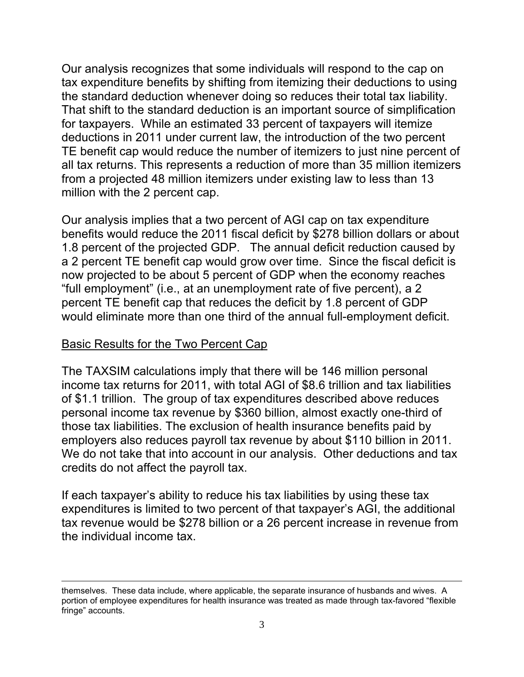Our analysis recognizes that some individuals will respond to the cap on tax expenditure benefits by shifting from itemizing their deductions to using the standard deduction whenever doing so reduces their total tax liability. That shift to the standard deduction is an important source of simplification for taxpayers. While an estimated 33 percent of taxpayers will itemize deductions in 2011 under current law, the introduction of the two percent TE benefit cap would reduce the number of itemizers to just nine percent of all tax returns. This represents a reduction of more than 35 million itemizers from a projected 48 million itemizers under existing law to less than 13 million with the 2 percent cap.

Our analysis implies that a two percent of AGI cap on tax expenditure benefits would reduce the 2011 fiscal deficit by \$278 billion dollars or about 1.8 percent of the projected GDP. The annual deficit reduction caused by a 2 percent TE benefit cap would grow over time. Since the fiscal deficit is now projected to be about 5 percent of GDP when the economy reaches "full employment" (i.e., at an unemployment rate of five percent), a 2 percent TE benefit cap that reduces the deficit by 1.8 percent of GDP would eliminate more than one third of the annual full-employment deficit.

#### Basic Results for the Two Percent Cap

The TAXSIM calculations imply that there will be 146 million personal income tax returns for 2011, with total AGI of \$8.6 trillion and tax liabilities of \$1.1 trillion. The group of tax expenditures described above reduces personal income tax revenue by \$360 billion, almost exactly one-third of those tax liabilities. The exclusion of health insurance benefits paid by employers also reduces payroll tax revenue by about \$110 billion in 2011. We do not take that into account in our analysis. Other deductions and tax credits do not affect the payroll tax.

If each taxpayer's ability to reduce his tax liabilities by using these tax expenditures is limited to two percent of that taxpayer's AGI, the additional tax revenue would be \$278 billion or a 26 percent increase in revenue from the individual income tax.

 $\overline{a}$ themselves. These data include, where applicable, the separate insurance of husbands and wives. A portion of employee expenditures for health insurance was treated as made through tax-favored "flexible fringe" accounts.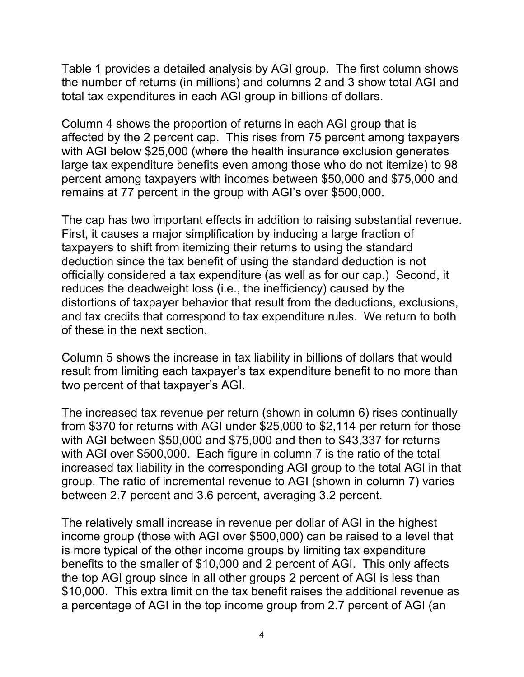Table 1 provides a detailed analysis by AGI group. The first column shows the number of returns (in millions) and columns 2 and 3 show total AGI and total tax expenditures in each AGI group in billions of dollars.

Column 4 shows the proportion of returns in each AGI group that is affected by the 2 percent cap. This rises from 75 percent among taxpayers with AGI below \$25,000 (where the health insurance exclusion generates large tax expenditure benefits even among those who do not itemize) to 98 percent among taxpayers with incomes between \$50,000 and \$75,000 and remains at 77 percent in the group with AGI's over \$500,000.

The cap has two important effects in addition to raising substantial revenue. First, it causes a major simplification by inducing a large fraction of taxpayers to shift from itemizing their returns to using the standard deduction since the tax benefit of using the standard deduction is not officially considered a tax expenditure (as well as for our cap.) Second, it reduces the deadweight loss (i.e., the inefficiency) caused by the distortions of taxpayer behavior that result from the deductions, exclusions, and tax credits that correspond to tax expenditure rules. We return to both of these in the next section.

Column 5 shows the increase in tax liability in billions of dollars that would result from limiting each taxpayer's tax expenditure benefit to no more than two percent of that taxpayer's AGI.

The increased tax revenue per return (shown in column 6) rises continually from \$370 for returns with AGI under \$25,000 to \$2,114 per return for those with AGI between \$50,000 and \$75,000 and then to \$43,337 for returns with AGI over \$500,000. Each figure in column 7 is the ratio of the total increased tax liability in the corresponding AGI group to the total AGI in that group. The ratio of incremental revenue to AGI (shown in column 7) varies between 2.7 percent and 3.6 percent, averaging 3.2 percent.

The relatively small increase in revenue per dollar of AGI in the highest income group (those with AGI over \$500,000) can be raised to a level that is more typical of the other income groups by limiting tax expenditure benefits to the smaller of \$10,000 and 2 percent of AGI. This only affects the top AGI group since in all other groups 2 percent of AGI is less than \$10,000. This extra limit on the tax benefit raises the additional revenue as a percentage of AGI in the top income group from 2.7 percent of AGI (an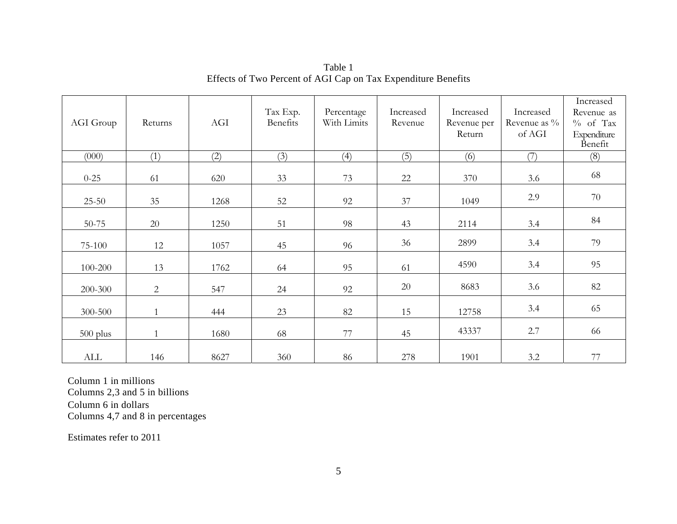| AGI Group  | Returns      | AGI  | Tax Exp.<br>Benefits | Percentage<br>With Limits | Increased<br>Revenue | Increased<br>Revenue per<br>Return | Increased<br>Revenue as $\%$<br>of AGI | Increased<br>Revenue as<br>$%$ of Tax<br>Expenditure |
|------------|--------------|------|----------------------|---------------------------|----------------------|------------------------------------|----------------------------------------|------------------------------------------------------|
| (000)      | (1)          | (2)  | (3)                  | (4)                       | (5)                  | (6)                                | (7)                                    | Benefit<br>(8)                                       |
| $0 - 25$   | 61           | 620  | 33                   | 73                        | 22                   | 370                                | 3.6                                    | 68                                                   |
| $25 - 50$  | $35\,$       | 1268 | 52                   | 92                        | 37                   | 1049                               | 2.9                                    | 70                                                   |
| 50-75      | 20           | 1250 | 51                   | 98                        | 43                   | 2114                               | 3.4                                    | 84                                                   |
| 75-100     | 12           | 1057 | 45                   | 96                        | 36                   | 2899                               | 3.4                                    | 79                                                   |
| 100-200    | 13           | 1762 | 64                   | 95                        | 61                   | 4590                               | 3.4                                    | 95                                                   |
| 200-300    | 2            | 547  | 24                   | 92                        | 20                   | 8683                               | 3.6                                    | 82                                                   |
| 300-500    | $\mathbf{1}$ | 444  | 23                   | 82                        | 15                   | 12758                              | 3.4                                    | 65                                                   |
| $500$ plus | $\mathbf{1}$ | 1680 | 68                   | 77                        | 45                   | 43337                              | 2.7                                    | 66                                                   |
| ALL        | 146          | 8627 | 360                  | $86\,$                    | 278                  | 1901                               | 3.2                                    | 77                                                   |

Table 1 Effects of Two Percent of AGI Cap on Tax Expenditure Benefits

Column 1 in millions Columns 2,3 and 5 in billions Column 6 in dollars Columns 4,7 and 8 in percentages

Estimates refer to 2011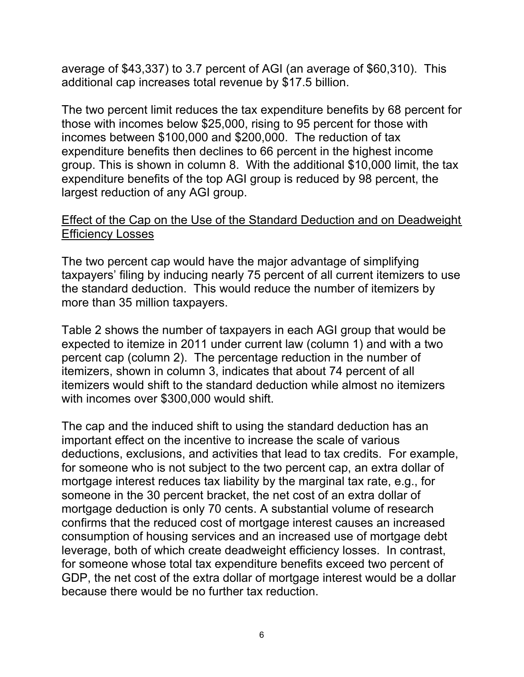average of \$43,337) to 3.7 percent of AGI (an average of \$60,310). This additional cap increases total revenue by \$17.5 billion.

The two percent limit reduces the tax expenditure benefits by 68 percent for those with incomes below \$25,000, rising to 95 percent for those with incomes between \$100,000 and \$200,000. The reduction of tax expenditure benefits then declines to 66 percent in the highest income group. This is shown in column 8. With the additional \$10,000 limit, the tax expenditure benefits of the top AGI group is reduced by 98 percent, the largest reduction of any AGI group.

## Effect of the Cap on the Use of the Standard Deduction and on Deadweight Efficiency Losses

The two percent cap would have the major advantage of simplifying taxpayers' filing by inducing nearly 75 percent of all current itemizers to use the standard deduction. This would reduce the number of itemizers by more than 35 million taxpayers.

Table 2 shows the number of taxpayers in each AGI group that would be expected to itemize in 2011 under current law (column 1) and with a two percent cap (column 2). The percentage reduction in the number of itemizers, shown in column 3, indicates that about 74 percent of all itemizers would shift to the standard deduction while almost no itemizers with incomes over \$300,000 would shift.

The cap and the induced shift to using the standard deduction has an important effect on the incentive to increase the scale of various deductions, exclusions, and activities that lead to tax credits. For example, for someone who is not subject to the two percent cap, an extra dollar of mortgage interest reduces tax liability by the marginal tax rate, e.g., for someone in the 30 percent bracket, the net cost of an extra dollar of mortgage deduction is only 70 cents. A substantial volume of research confirms that the reduced cost of mortgage interest causes an increased consumption of housing services and an increased use of mortgage debt leverage, both of which create deadweight efficiency losses. In contrast, for someone whose total tax expenditure benefits exceed two percent of GDP, the net cost of the extra dollar of mortgage interest would be a dollar because there would be no further tax reduction.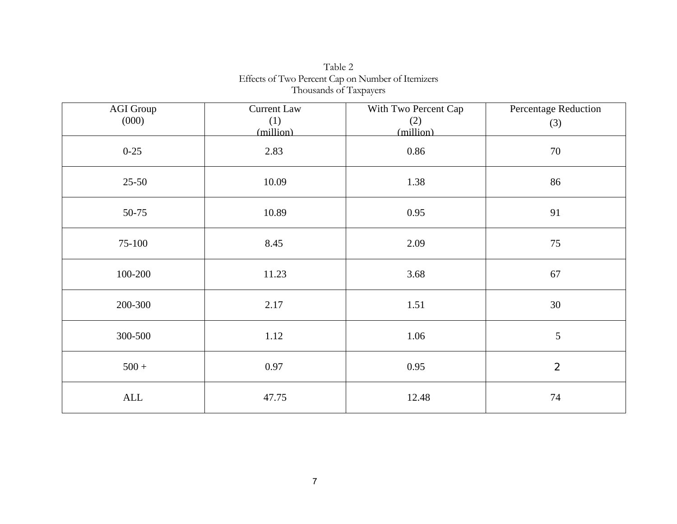| <b>AGI Group</b> | <b>Current Law</b> | With Two Percent Cap | Percentage Reduction |
|------------------|--------------------|----------------------|----------------------|
| (000)            | (1)                | (2)                  | (3)                  |
|                  | (million)          | (million)            |                      |
| $0 - 25$         | 2.83               | 0.86                 | 70                   |
| $25 - 50$        | 10.09              | 1.38                 | 86                   |
| 50-75            | 10.89              | 0.95                 | 91                   |
| 75-100           | 8.45               | 2.09                 | 75                   |
| 100-200          | 11.23              | 3.68                 | 67                   |
| 200-300          | 2.17               | 1.51                 | 30                   |
| 300-500          | 1.12               | 1.06                 | $\sqrt{5}$           |
| $500 +$          | 0.97               | 0.95                 | $\overline{2}$       |
| ALL              | 47.75              | 12.48                | 74                   |

Table 2 Effects of Two Percent Cap on Number of Itemizers Thousands of Taxpayers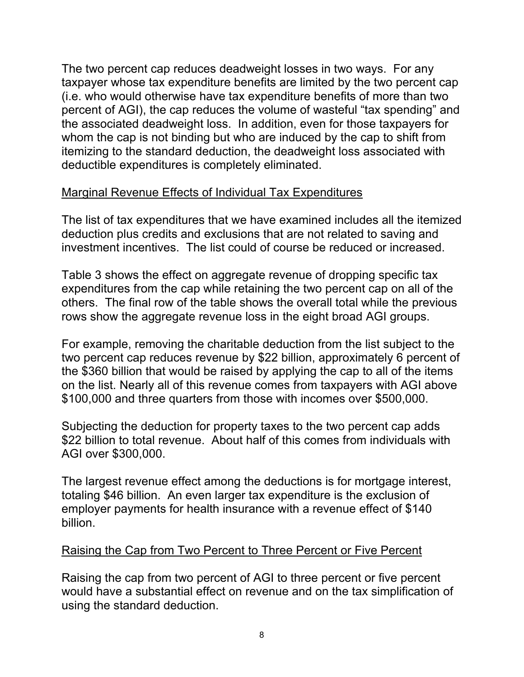The two percent cap reduces deadweight losses in two ways. For any taxpayer whose tax expenditure benefits are limited by the two percent cap (i.e. who would otherwise have tax expenditure benefits of more than two percent of AGI), the cap reduces the volume of wasteful "tax spending" and the associated deadweight loss. In addition, even for those taxpayers for whom the cap is not binding but who are induced by the cap to shift from itemizing to the standard deduction, the deadweight loss associated with deductible expenditures is completely eliminated.

# Marginal Revenue Effects of Individual Tax Expenditures

The list of tax expenditures that we have examined includes all the itemized deduction plus credits and exclusions that are not related to saving and investment incentives. The list could of course be reduced or increased.

Table 3 shows the effect on aggregate revenue of dropping specific tax expenditures from the cap while retaining the two percent cap on all of the others. The final row of the table shows the overall total while the previous rows show the aggregate revenue loss in the eight broad AGI groups.

For example, removing the charitable deduction from the list subject to the two percent cap reduces revenue by \$22 billion, approximately 6 percent of the \$360 billion that would be raised by applying the cap to all of the items on the list. Nearly all of this revenue comes from taxpayers with AGI above \$100,000 and three quarters from those with incomes over \$500,000.

Subjecting the deduction for property taxes to the two percent cap adds \$22 billion to total revenue. About half of this comes from individuals with AGI over \$300,000.

The largest revenue effect among the deductions is for mortgage interest, totaling \$46 billion. An even larger tax expenditure is the exclusion of employer payments for health insurance with a revenue effect of \$140 billion.

## Raising the Cap from Two Percent to Three Percent or Five Percent

Raising the cap from two percent of AGI to three percent or five percent would have a substantial effect on revenue and on the tax simplification of using the standard deduction.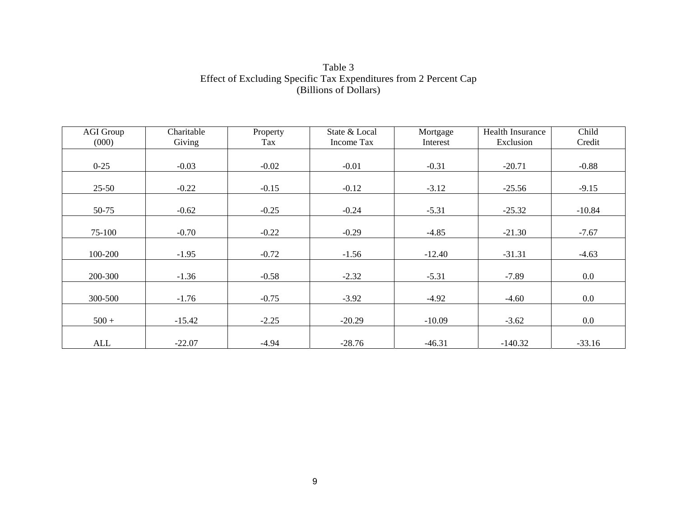Table 3 Effect of Excluding Specific Tax Expenditures from 2 Percent Cap (Billions of Dollars)

| <b>AGI Group</b> | Charitable | Property | State & Local     | Mortgage | <b>Health Insurance</b> | Child    |
|------------------|------------|----------|-------------------|----------|-------------------------|----------|
| (000)            | Giving     | Tax      | <b>Income Tax</b> | Interest | Exclusion               | Credit   |
|                  |            |          |                   |          |                         |          |
| $0 - 25$         | $-0.03$    | $-0.02$  | $-0.01$           | $-0.31$  | $-20.71$                | $-0.88$  |
|                  |            |          |                   |          |                         |          |
| $25 - 50$        | $-0.22$    | $-0.15$  | $-0.12$           | $-3.12$  | $-25.56$                | $-9.15$  |
|                  |            |          |                   |          |                         |          |
| 50-75            | $-0.62$    | $-0.25$  | $-0.24$           | $-5.31$  | $-25.32$                | $-10.84$ |
|                  |            |          |                   |          |                         |          |
| 75-100           | $-0.70$    | $-0.22$  | $-0.29$           | $-4.85$  | $-21.30$                | $-7.67$  |
|                  |            |          |                   |          |                         |          |
| 100-200          | $-1.95$    | $-0.72$  | $-1.56$           | $-12.40$ | $-31.31$                | $-4.63$  |
|                  |            |          |                   |          |                         |          |
| 200-300          | $-1.36$    | $-0.58$  | $-2.32$           | $-5.31$  | $-7.89$                 | $0.0\,$  |
|                  |            |          |                   |          |                         |          |
| 300-500          | $-1.76$    | $-0.75$  | $-3.92$           | $-4.92$  | $-4.60$                 | $0.0\,$  |
|                  |            |          |                   |          |                         |          |
| $500 +$          | $-15.42$   | $-2.25$  | $-20.29$          | $-10.09$ | $-3.62$                 | $0.0\,$  |
|                  |            |          |                   |          |                         |          |
| ALL              | $-22.07$   | $-4.94$  | $-28.76$          | $-46.31$ | $-140.32$               | $-33.16$ |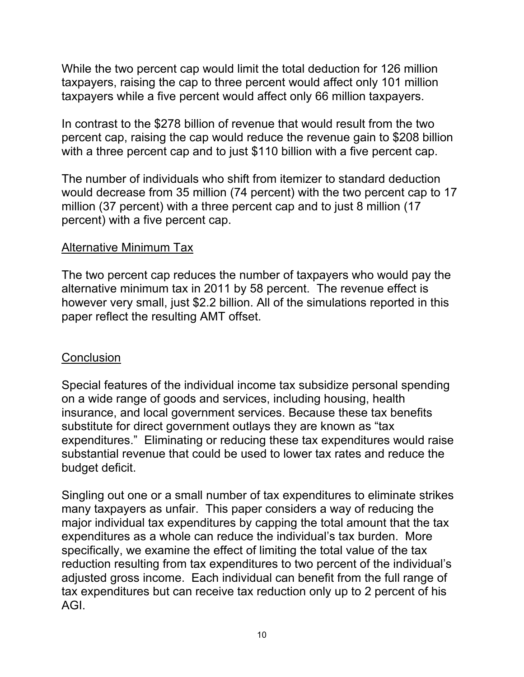While the two percent cap would limit the total deduction for 126 million taxpayers, raising the cap to three percent would affect only 101 million taxpayers while a five percent would affect only 66 million taxpayers.

In contrast to the \$278 billion of revenue that would result from the two percent cap, raising the cap would reduce the revenue gain to \$208 billion with a three percent cap and to just \$110 billion with a five percent cap.

The number of individuals who shift from itemizer to standard deduction would decrease from 35 million (74 percent) with the two percent cap to 17 million (37 percent) with a three percent cap and to just 8 million (17 percent) with a five percent cap.

### Alternative Minimum Tax

The two percent cap reduces the number of taxpayers who would pay the alternative minimum tax in 2011 by 58 percent. The revenue effect is however very small, just \$2.2 billion. All of the simulations reported in this paper reflect the resulting AMT offset.

## **Conclusion**

Special features of the individual income tax subsidize personal spending on a wide range of goods and services, including housing, health insurance, and local government services. Because these tax benefits substitute for direct government outlays they are known as "tax expenditures." Eliminating or reducing these tax expenditures would raise substantial revenue that could be used to lower tax rates and reduce the budget deficit.

Singling out one or a small number of tax expenditures to eliminate strikes many taxpayers as unfair. This paper considers a way of reducing the major individual tax expenditures by capping the total amount that the tax expenditures as a whole can reduce the individual's tax burden. More specifically, we examine the effect of limiting the total value of the tax reduction resulting from tax expenditures to two percent of the individual's adjusted gross income. Each individual can benefit from the full range of tax expenditures but can receive tax reduction only up to 2 percent of his AGI.